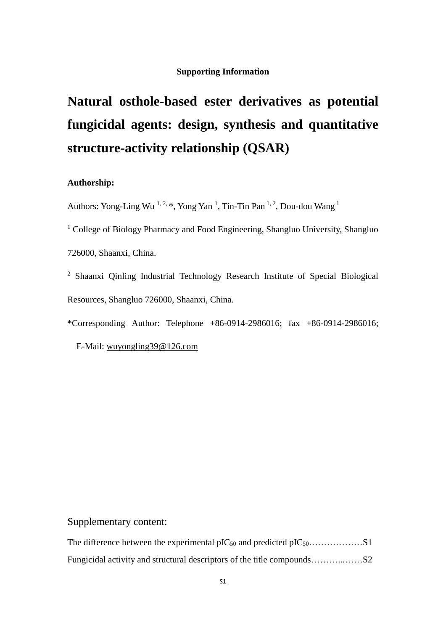#### **Supporting Information**

# **Natural osthole-based ester derivatives as potential fungicidal agents: design, synthesis and quantitative structure-activity relationship (QSAR)**

#### **Authorship:**

Authors: Yong-Ling Wu<sup>1,2,\*</sup>, Yong Yan<sup>1</sup>, Tin-Tin Pan<sup>1,2</sup>, Dou-dou Wang<sup>1</sup>

<sup>1</sup> College of Biology Pharmacy and Food Engineering, Shangluo University, Shangluo 726000, Shaanxi, China.

<sup>2</sup> Shaanxi Qinling Industrial Technology Research Institute of Special Biological Resources, Shangluo 726000, Shaanxi, China.

\*Corresponding Author: Telephone +86-0914-2986016; fax +86-0914-2986016;

E-Mail: [wuyongling39@126.com](mailto:wuyongling39@126.com)

### Supplementary content: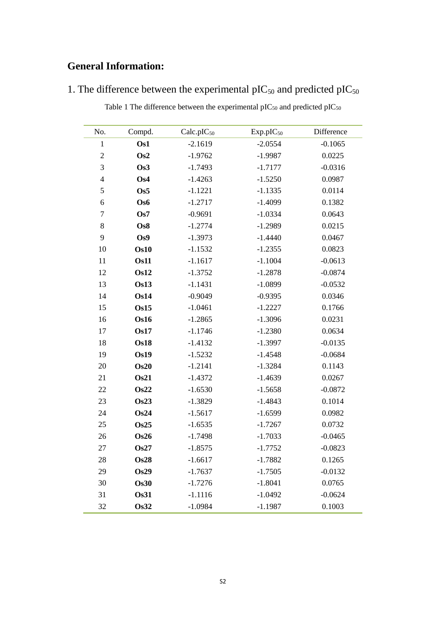## **General Information:**

| 1. The difference between the experimental $\text{pIC}_{50}$ and predicted $\text{pIC}_{50}$ |  |  |  |  |
|----------------------------------------------------------------------------------------------|--|--|--|--|
|----------------------------------------------------------------------------------------------|--|--|--|--|

| Table 1 The difference between the experimental pIC $_{50}$ and predicted pIC $_{50}$ |  |  |  |  |
|---------------------------------------------------------------------------------------|--|--|--|--|
|---------------------------------------------------------------------------------------|--|--|--|--|

| No.              | Compd.          | Calc.pIC <sub>50</sub> | Exp.pIC <sub>50</sub> | Difference |
|------------------|-----------------|------------------------|-----------------------|------------|
| $\,1$            | Os1             | $-2.1619$              | $-2.0554$             | $-0.1065$  |
| $\overline{c}$   | Os2             | $-1.9762$              | $-1.9987$             | 0.0225     |
| $\overline{3}$   | Os <sub>3</sub> | $-1.7493$              | $-1.7177$             | $-0.0316$  |
| $\overline{4}$   | Os4             | $-1.4263$              | $-1.5250$             | 0.0987     |
| 5                | Os5             | $-1.1221$              | $-1.1335$             | 0.0114     |
| 6                | Os6             | $-1.2717$              | $-1.4099$             | 0.1382     |
| $\boldsymbol{7}$ | Os7             | $-0.9691$              | $-1.0334$             | 0.0643     |
| 8                | Os8             | $-1.2774$              | $-1.2989$             | 0.0215     |
| 9                | Os9             | $-1.3973$              | $-1.4440$             | 0.0467     |
| 10               | Os10            | $-1.1532$              | $-1.2355$             | 0.0823     |
| 11               | <b>Os11</b>     | $-1.1617$              | $-1.1004$             | $-0.0613$  |
| 12               | <b>Os12</b>     | $-1.3752$              | $-1.2878$             | $-0.0874$  |
| 13               | <b>Os13</b>     | $-1.1431$              | $-1.0899$             | $-0.0532$  |
| 14               | Os14            | $-0.9049$              | $-0.9395$             | 0.0346     |
| 15               | Os15            | $-1.0461$              | $-1.2227$             | 0.1766     |
| 16               | <b>Os16</b>     | $-1.2865$              | $-1.3096$             | 0.0231     |
| 17               | Os17            | $-1.1746$              | $-1.2380$             | 0.0634     |
| 18               | <b>Os18</b>     | $-1.4132$              | $-1.3997$             | $-0.0135$  |
| 19               | Os19            | $-1.5232$              | $-1.4548$             | $-0.0684$  |
| 20               | Os20            | $-1.2141$              | $-1.3284$             | 0.1143     |
| 21               | <b>Os21</b>     | $-1.4372$              | $-1.4639$             | 0.0267     |
| 22               | Os22            | $-1.6530$              | $-1.5658$             | $-0.0872$  |
| 23               | <b>Os23</b>     | $-1.3829$              | $-1.4843$             | 0.1014     |
| 24               | Os24            | $-1.5617$              | $-1.6599$             | 0.0982     |
| 25               | Os25            | $-1.6535$              | $-1.7267$             | 0.0732     |
| 26               | <b>Os26</b>     | $-1.7498$              | $-1.7033$             | $-0.0465$  |
| 27               | Os27            | $-1.8575$              | $-1.7752$             | $-0.0823$  |
| 28               | Os28            | $-1.6617$              | $-1.7882$             | 0.1265     |
| 29               | Os29            | $-1.7637$              | $-1.7505$             | $-0.0132$  |
| 30               | <b>Os30</b>     | $-1.7276$              | $-1.8041$             | 0.0765     |
| 31               | <b>Os31</b>     | $-1.1116$              | $-1.0492$             | $-0.0624$  |
| 32               | <b>Os32</b>     | $-1.0984$              | $-1.1987$             | 0.1003     |